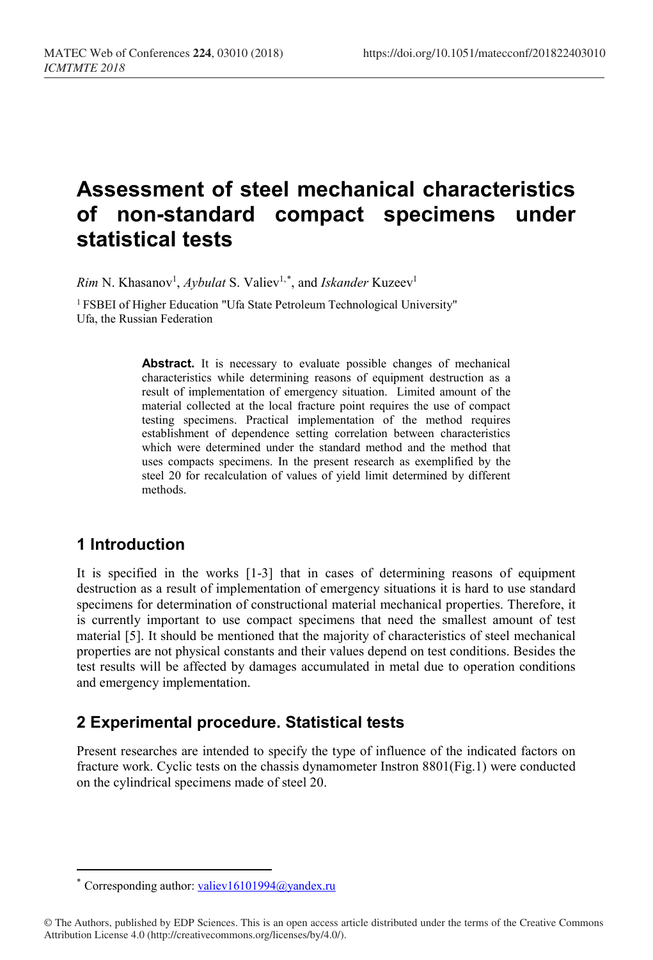# **Assessment of steel mechanical characteristics of non-standard compact specimens under statistical tests**

*Rim* N. Khasanov<sup>1</sup>, *Aybulat* S. Valiev<sup>1,[\\*](#page-0-0)</sup>, and *Iskander* Kuzeev<sup>1</sup>

<sup>1</sup> FSBEI of Higher Education "Ufa State Petroleum Technological University" Ufa, the Russian Federation

> Abstract. It is necessary to evaluate possible changes of mechanical characteristics while determining reasons of equipment destruction as a result of implementation of emergency situation. Limited amount of the material collected at the local fracture point requires the use of compact testing specimens. Practical implementation of the method requires establishment of dependence setting correlation between characteristics which were determined under the standard method and the method that uses compacts specimens. In the present research as exemplified by the steel 20 for recalculation of values of yield limit determined by different methods.

### **1 Introduction**

 $\overline{a}$ 

It is specified in the works [1-3] that in cases of determining reasons of equipment destruction as a result of implementation of emergency situations it is hard to use standard specimens for determination of constructional material mechanical properties. Therefore, it is currently important to use compact specimens that need the smallest amount of test material [5]. It should be mentioned that the majority of characteristics of steel mechanical properties are not physical constants and their values depend on test conditions. Besides the test results will be affected by damages accumulated in metal due to operation conditions and emergency implementation.

### **2 Experimental procedure. Statistical tests**

Present researches are intended to specify the type of influence of the indicated factors on fracture work. Cyclic tests on the chassis dynamometer Instron 8801(Fig.1) were conducted on the cylindrical specimens made of steel 20.

Corresponding author: [valiev16101994@yandex.ru](mailto:valiev16101994@yandex.ru)

<span id="page-0-0"></span><sup>©</sup> The Authors, published by EDP Sciences. This is an open access article distributed under the terms of the Creative Commons Attribution License 4.0 (http://creativecommons.org/licenses/by/4.0/).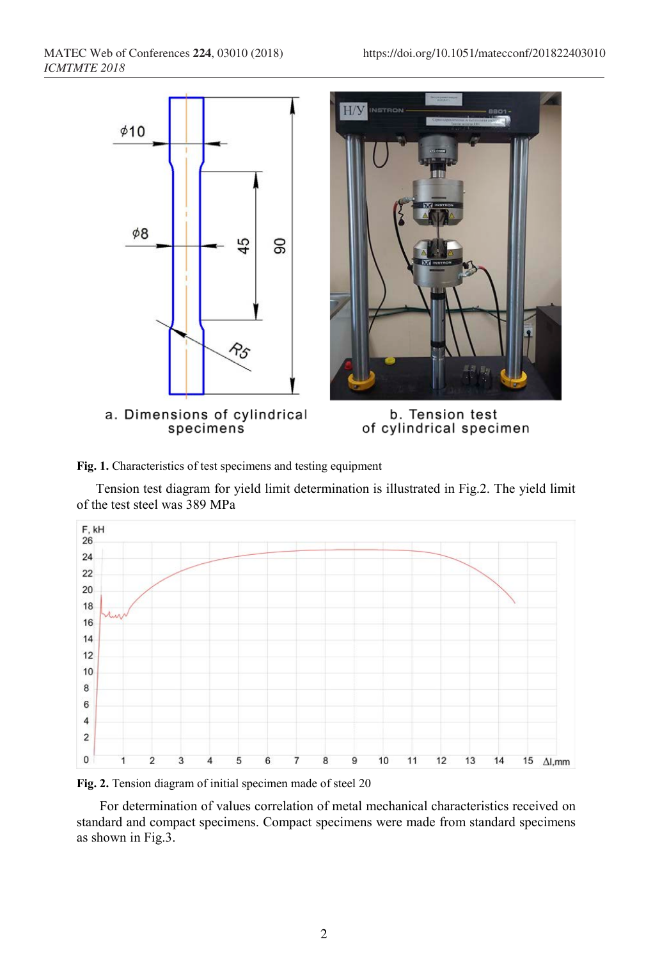



Tension test diagram for yield limit determination is illustrated in Fig.2. The yield limit of the test steel was 389 MPa



**Fig. 2.** Tension diagram of initial specimen made of steel 20

For determination of values correlation of metal mechanical characteristics received on standard and compact specimens. Compact specimens were made from standard specimens as shown in Fig.3.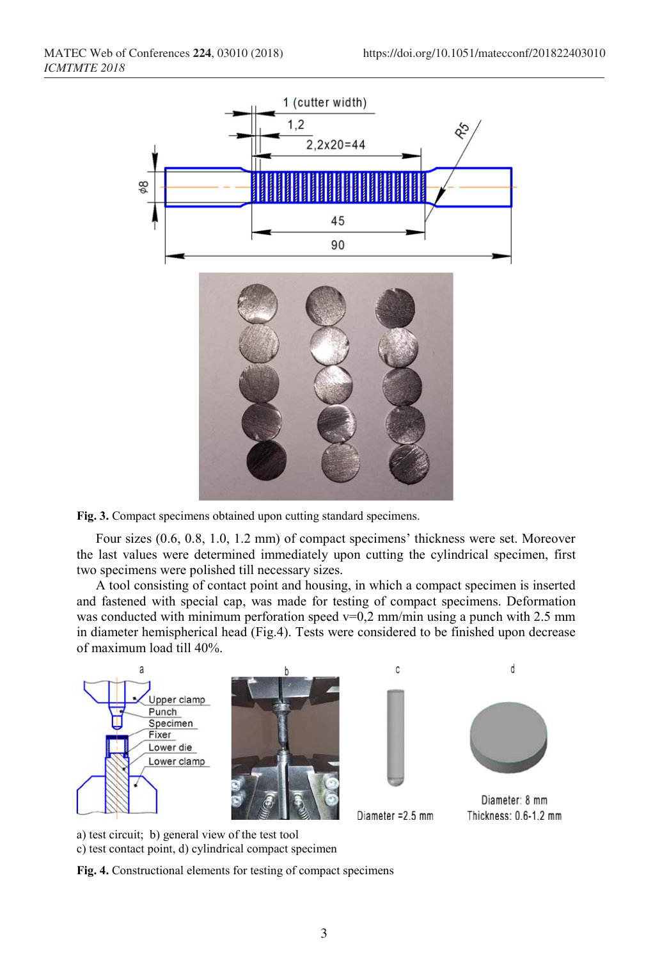

**Fig. 3.** Compact specimens obtained upon cutting standard specimens.

Four sizes (0.6, 0.8, 1.0, 1.2 mm) of compact specimens' thickness were set. Moreover the last values were determined immediately upon cutting the cylindrical specimen, first two specimens were polished till necessary sizes.

A tool consisting of contact point and housing, in which a compact specimen is inserted and fastened with special cap, was made for testing of compact specimens. Deformation was conducted with minimum perforation speed  $v=0.2$  mm/min using a punch with 2.5 mm in diameter hemispherical head (Fig.4). Tests were considered to be finished upon decrease of maximum load till 40%.



a) test circuit; b) general view of the test tool c) test contact point, d) cylindrical compact specimen

**Fig. 4.** Constructional elements for testing of compact specimens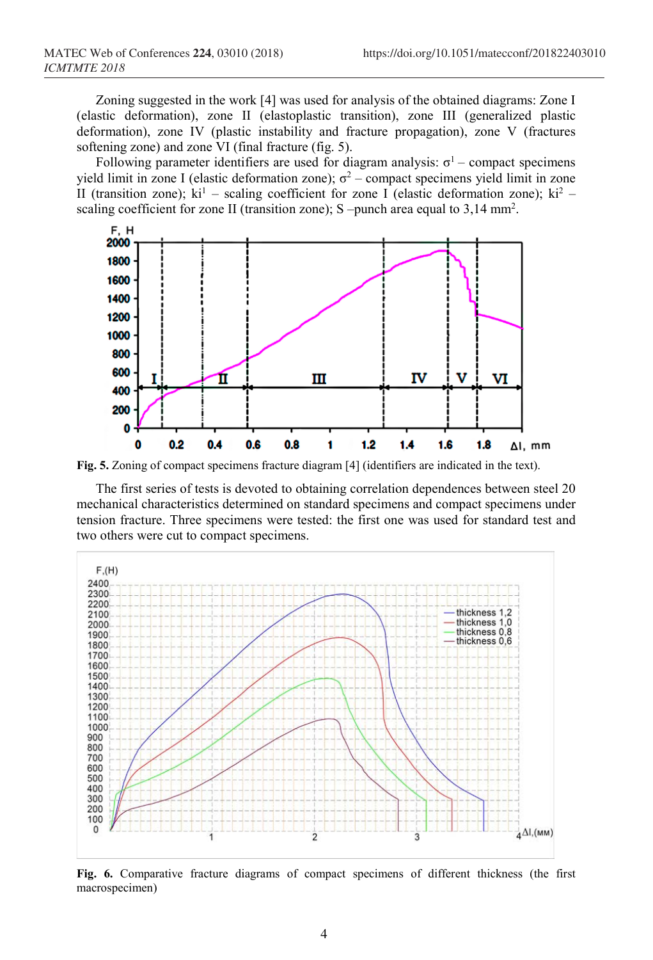Zoning suggested in the work [4] was used for analysis of the obtained diagrams: Zone I (elastic deformation), zone II (elastoplastic transition), zone III (generalized plastic deformation), zone IV (plastic instability and fracture propagation), zone V (fractures softening zone) and zone VI (final fracture (fig. 5).

Following parameter identifiers are used for diagram analysis:  $\sigma$ <sup>1</sup> – compact specimens yield limit in zone I (elastic deformation zone);  $\sigma^2$  – compact specimens yield limit in zone II (transition zone);  $ki^1$  – scaling coefficient for zone I (elastic deformation zone);  $ki^2$  – scaling coefficient for zone II (transition zone); S -punch area equal to 3,14 mm<sup>2</sup>.



**Fig. 5.** Zoning of compact specimens fracture diagram [4] (identifiers are indicated in the text).

The first series of tests is devoted to obtaining correlation dependences between steel 20 mechanical characteristics determined on standard specimens and compact specimens under tension fracture. Three specimens were tested: the first one was used for standard test and two others were cut to compact specimens.



**Fig. 6.** Comparative fracture diagrams of compact specimens of different thickness (the first macrospecimen)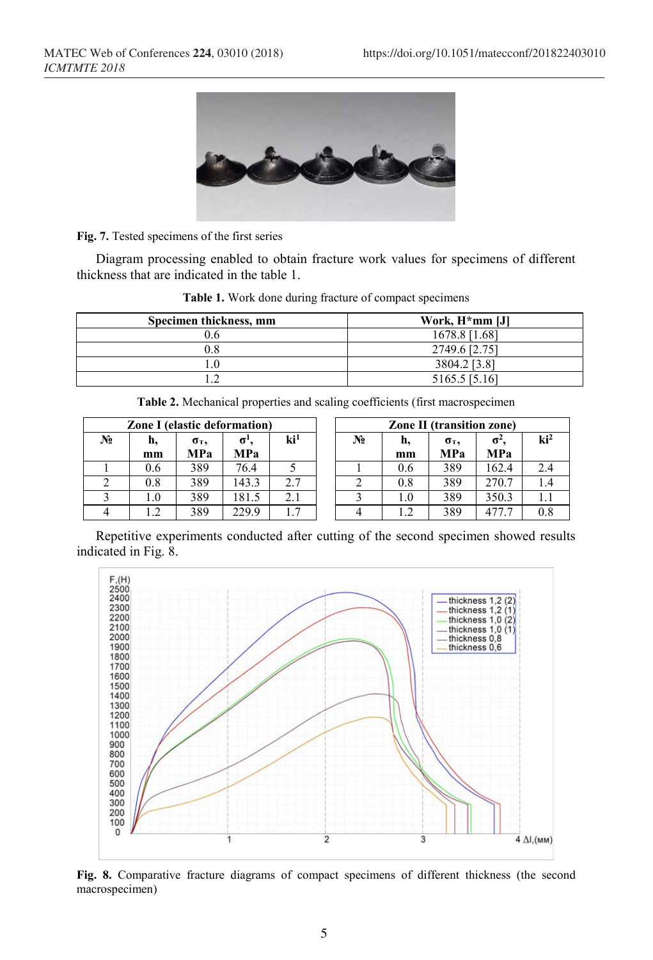

**Fig. 7.** Tested specimens of the first series

Diagram processing enabled to obtain fracture work values for specimens of different thickness that are indicated in the table 1.

| Specimen thickness, mm | Work, H <sup>*</sup> mm [J] |
|------------------------|-----------------------------|
| 0.6                    | 1678.8 [1.68]               |
|                        | 2749.6 [2.75]               |
|                        | 3804.2 [3.8]                |
|                        | 5165.5 [5.16]               |

**Table 1.** Work done during fracture of compact specimens

| <b>Table 2.</b> Mechanical properties and scaling coefficients (first macrospecimen |  |  |
|-------------------------------------------------------------------------------------|--|--|
|-------------------------------------------------------------------------------------|--|--|

| <b>Zone I</b> (elastic deformation) |          |            |           |                 |  | <b>Zone II (transition zone)</b> |          |                              |           |  |
|-------------------------------------|----------|------------|-----------|-----------------|--|----------------------------------|----------|------------------------------|-----------|--|
| No                                  | h,<br>mm | σт,<br>MPa | σ.<br>MPa | ki <sup>1</sup> |  | No                               | n,<br>mm | $\sigma$ <sub>T</sub><br>MPa | σ.<br>MPa |  |
|                                     | 0.6      | 389        | 76.4      |                 |  |                                  | 0.6      | 389                          | 162.4     |  |
|                                     | 0.8      | 389        | 143.3     | 2.7             |  |                                  | 0.8      | 389                          | 270.7     |  |
|                                     | 1.0      | 389        | 81.5      | 2.1             |  |                                  | $1.0\,$  | 389                          | 350.3     |  |
|                                     |          | 389        | 229.9     |                 |  |                                  | 1.2      | 389                          |           |  |

| <b>Zone I</b> (elastic deformation) |          |            |                              |                 | <b>Zone II (transition zone)</b> |          |            |                   |                 |  |  |
|-------------------------------------|----------|------------|------------------------------|-----------------|----------------------------------|----------|------------|-------------------|-----------------|--|--|
| ۷ò                                  | n.<br>mm | σт,<br>MPa | $\sigma$ <sup>'</sup><br>MPa | ki <sup>1</sup> | $N_2$                            | h,<br>mm | σт,<br>MPa | σ-.<br><b>MPa</b> | $\mathrm{ki}^2$ |  |  |
|                                     | 0.6      | 389        | 76.4                         |                 |                                  | 0.6      | 389        | 162.4             | 2.4             |  |  |
| ∠                                   | 0.8      | 389        | 143.3                        | 2.7             |                                  | 0.8      | 389        | 270.7             |                 |  |  |
|                                     | $1.0\,$  | 389        | 181.5                        | 2.1             |                                  | 1.0      | 389        | 350.3             |                 |  |  |
|                                     | 1.2      | 389        | 229.9                        | 1.7             |                                  |          | 389        | 477.7             | 0.8             |  |  |

Repetitive experiments conducted after cutting of the second specimen showed results indicated in Fig. 8.



**Fig. 8.** Comparative fracture diagrams of compact specimens of different thickness (the second macrospecimen)